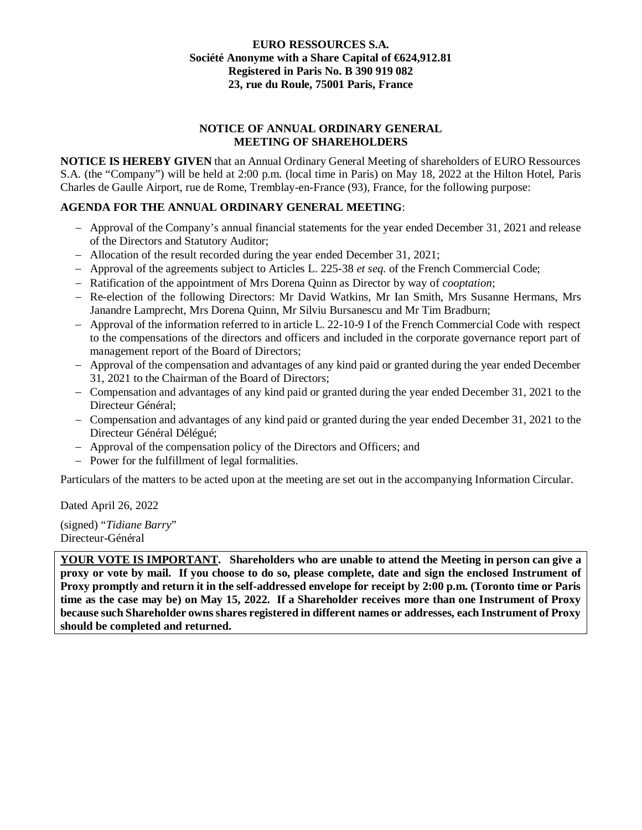### **EURO RESSOURCES S.A. Société Anonyme with a Share Capital of €624,912.81 Registered in Paris No. B 390 919 082 23, rue du Roule, 75001 Paris, France**

# **NOTICE OF ANNUAL ORDINARY GENERAL MEETING OF SHAREHOLDERS**

**NOTICE IS HEREBY GIVEN** that an Annual Ordinary General Meeting of shareholders of EURO Ressources S.A. (the "Company") will be held at 2:00 p.m. (local time in Paris) on May 18, 2022 at the Hilton Hotel, Paris Charles de Gaulle Airport, rue de Rome, Tremblay-en-France (93), France, for the following purpose:

# **AGENDA FOR THE ANNUAL ORDINARY GENERAL MEETING**:

- Approval of the Company's annual financial statements for the year ended December 31, 2021 and release of the Directors and Statutory Auditor;
- Allocation of the result recorded during the year ended December 31, 2021;
- Approval of the agreements subject to Articles L. 225-38 *et seq.* of the French Commercial Code;
- Ratification of the appointment of Mrs Dorena Quinn as Director by way of *cooptation*;
- Re-election of the following Directors: Mr David Watkins, Mr Ian Smith, Mrs Susanne Hermans, Mrs Janandre Lamprecht, Mrs Dorena Quinn, Mr Silviu Bursanescu and Mr Tim Bradburn;
- Approval of the information referred to in article L. 22-10-9 I of the French Commercial Code with respect to the compensations of the directors and officers and included in the corporate governance report part of management report of the Board of Directors;
- Approval of the compensation and advantages of any kind paid or granted during the year ended December 31, 2021 to the Chairman of the Board of Directors;
- Compensation and advantages of any kind paid or granted during the year ended December 31, 2021 to the Directeur Général;
- Compensation and advantages of any kind paid or granted during the year ended December 31, 2021 to the Directeur Général Délégué;
- Approval of the compensation policy of the Directors and Officers; and
- Power for the fulfillment of legal formalities.

Particulars of the matters to be acted upon at the meeting are set out in the accompanying Information Circular.

Dated April 26, 2022

(signed) "*Tidiane Barry*" Directeur-Général

**YOUR VOTE IS IMPORTANT. Shareholders who are unable to attend the Meeting in person can give a proxy or vote by mail. If you choose to do so, please complete, date and sign the enclosed Instrument of Proxy promptly and return it in the self-addressed envelope for receipt by 2:00 p.m. (Toronto time or Paris time as the case may be) on May 15, 2022. If a Shareholder receives more than one Instrument of Proxy because such Shareholder owns shares registered in different names or addresses, each Instrument of Proxy should be completed and returned.**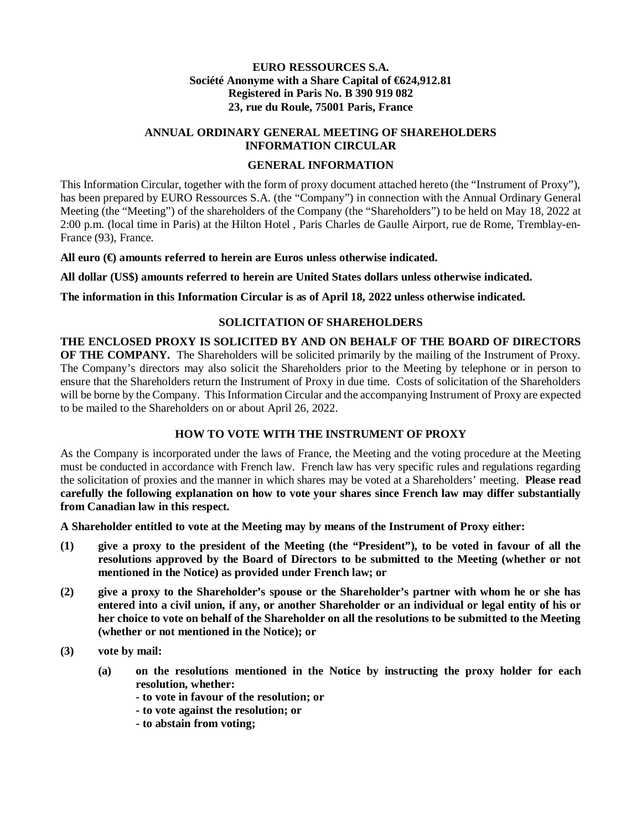### **EURO RESSOURCES S.A. Société Anonyme with a Share Capital of €624,912.81 Registered in Paris No. B 390 919 082 23, rue du Roule, 75001 Paris, France**

## **ANNUAL ORDINARY GENERAL MEETING OF SHAREHOLDERS INFORMATION CIRCULAR**

### **GENERAL INFORMATION**

This Information Circular, together with the form of proxy document attached hereto (the "Instrument of Proxy"), has been prepared by EURO Ressources S.A. (the "Company") in connection with the Annual Ordinary General Meeting (the "Meeting") of the shareholders of the Company (the "Shareholders") to be held on May 18, 2022 at 2:00 p.m. (local time in Paris) at the Hilton Hotel , Paris Charles de Gaulle Airport, rue de Rome, Tremblay-en-France (93), France.

**All euro (€) amounts referred to herein are Euros unless otherwise indicated.**

**All dollar (US\$) amounts referred to herein are United States dollars unless otherwise indicated.**

**The information in this Information Circular is as of April 18, 2022 unless otherwise indicated.**

### **SOLICITATION OF SHAREHOLDERS**

**THE ENCLOSED PROXY IS SOLICITED BY AND ON BEHALF OF THE BOARD OF DIRECTORS OF THE COMPANY.** The Shareholders will be solicited primarily by the mailing of the Instrument of Proxy. The Company's directors may also solicit the Shareholders prior to the Meeting by telephone or in person to ensure that the Shareholders return the Instrument of Proxy in due time. Costs of solicitation of the Shareholders will be borne by the Company. This Information Circular and the accompanying Instrument of Proxy are expected to be mailed to the Shareholders on or about April 26, 2022.

### **HOW TO VOTE WITH THE INSTRUMENT OF PROXY**

As the Company is incorporated under the laws of France, the Meeting and the voting procedure at the Meeting must be conducted in accordance with French law. French law has very specific rules and regulations regarding the solicitation of proxies and the manner in which shares may be voted at a Shareholders' meeting. **Please read carefully the following explanation on how to vote your shares since French law may differ substantially from Canadian law in this respect.**

**A Shareholder entitled to vote at the Meeting may by means of the Instrument of Proxy either:**

- **(1) give a proxy to the president of the Meeting (the "President"), to be voted in favour of all the resolutions approved by the Board of Directors to be submitted to the Meeting (whether or not mentioned in the Notice) as provided under French law; or**
- **(2) give a proxy to the Shareholder's spouse or the Shareholder's partner with whom he or she has entered into a civil union, if any, or another Shareholder or an individual or legal entity of his or her choice to vote on behalf of the Shareholder on all the resolutions to be submitted to the Meeting (whether or not mentioned in the Notice); or**
- **(3) vote by mail:**
	- **(a) on the resolutions mentioned in the Notice by instructing the proxy holder for each resolution, whether:**
		- **to vote in favour of the resolution; or**
		- **to vote against the resolution; or**
		- **to abstain from voting;**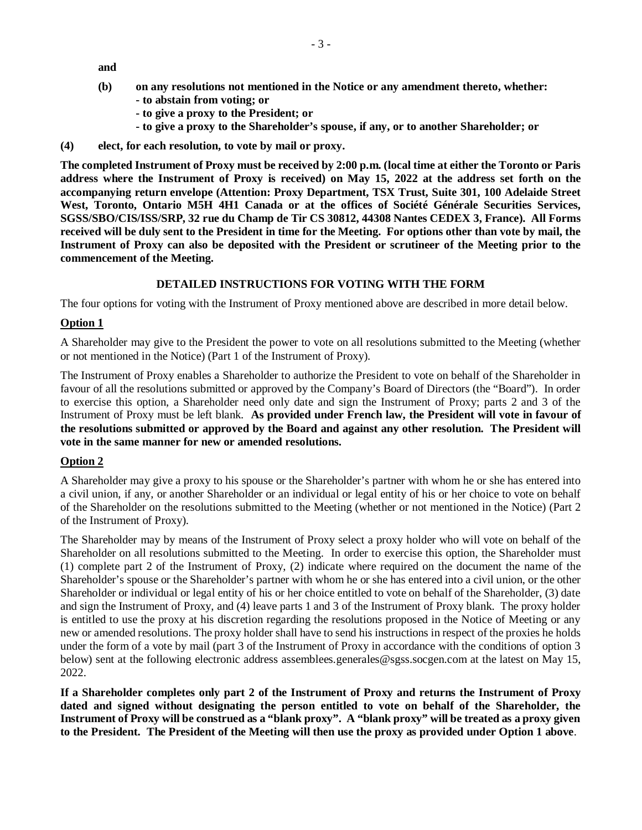**and**

- **(b) on any resolutions not mentioned in the Notice or any amendment thereto, whether: - to abstain from voting; or**
	- **to give a proxy to the President; or**
	- **to give a proxy to the Shareholder's spouse, if any, or to another Shareholder; or**
- **(4) elect, for each resolution, to vote by mail or proxy.**

**The completed Instrument of Proxy must be received by 2:00 p.m. (local time at either the Toronto or Paris address where the Instrument of Proxy is received) on May 15, 2022 at the address set forth on the accompanying return envelope (Attention: Proxy Department, TSX Trust, Suite 301, 100 Adelaide Street West, Toronto, Ontario M5H 4H1 Canada or at the offices of Société Générale Securities Services, SGSS/SBO/CIS/ISS/SRP, 32 rue du Champ de Tir CS 30812, 44308 Nantes CEDEX 3, France). All Forms received will be duly sent to the President in time for the Meeting. For options other than vote by mail, the Instrument of Proxy can also be deposited with the President or scrutineer of the Meeting prior to the commencement of the Meeting.**

#### **DETAILED INSTRUCTIONS FOR VOTING WITH THE FORM**

The four options for voting with the Instrument of Proxy mentioned above are described in more detail below.

#### **Option 1**

A Shareholder may give to the President the power to vote on all resolutions submitted to the Meeting (whether or not mentioned in the Notice) (Part 1 of the Instrument of Proxy).

The Instrument of Proxy enables a Shareholder to authorize the President to vote on behalf of the Shareholder in favour of all the resolutions submitted or approved by the Company's Board of Directors (the "Board"). In order to exercise this option, a Shareholder need only date and sign the Instrument of Proxy; parts 2 and 3 of the Instrument of Proxy must be left blank. **As provided under French law, the President will vote in favour of the resolutions submitted or approved by the Board and against any other resolution. The President will vote in the same manner for new or amended resolutions.**

#### **Option 2**

A Shareholder may give a proxy to his spouse or the Shareholder's partner with whom he or she has entered into a civil union, if any, or another Shareholder or an individual or legal entity of his or her choice to vote on behalf of the Shareholder on the resolutions submitted to the Meeting (whether or not mentioned in the Notice) (Part 2 of the Instrument of Proxy).

The Shareholder may by means of the Instrument of Proxy select a proxy holder who will vote on behalf of the Shareholder on all resolutions submitted to the Meeting. In order to exercise this option, the Shareholder must (1) complete part 2 of the Instrument of Proxy, (2) indicate where required on the document the name of the Shareholder's spouse or the Shareholder's partner with whom he or she has entered into a civil union, or the other Shareholder or individual or legal entity of his or her choice entitled to vote on behalf of the Shareholder, (3) date and sign the Instrument of Proxy, and (4) leave parts 1 and 3 of the Instrument of Proxy blank. The proxy holder is entitled to use the proxy at his discretion regarding the resolutions proposed in the Notice of Meeting or any new or amended resolutions. The proxy holder shall have to send his instructions in respect of the proxies he holds under the form of a vote by mail (part 3 of the Instrument of Proxy in accordance with the conditions of option 3 below) sent at the following electronic address assemblees.generales@sgss.socgen.com at the latest on May 15, 2022.

**If a Shareholder completes only part 2 of the Instrument of Proxy and returns the Instrument of Proxy dated and signed without designating the person entitled to vote on behalf of the Shareholder, the Instrument of Proxy will be construed as a "blank proxy". A "blank proxy" will be treated as a proxy given to the President. The President of the Meeting will then use the proxy as provided under Option 1 above**.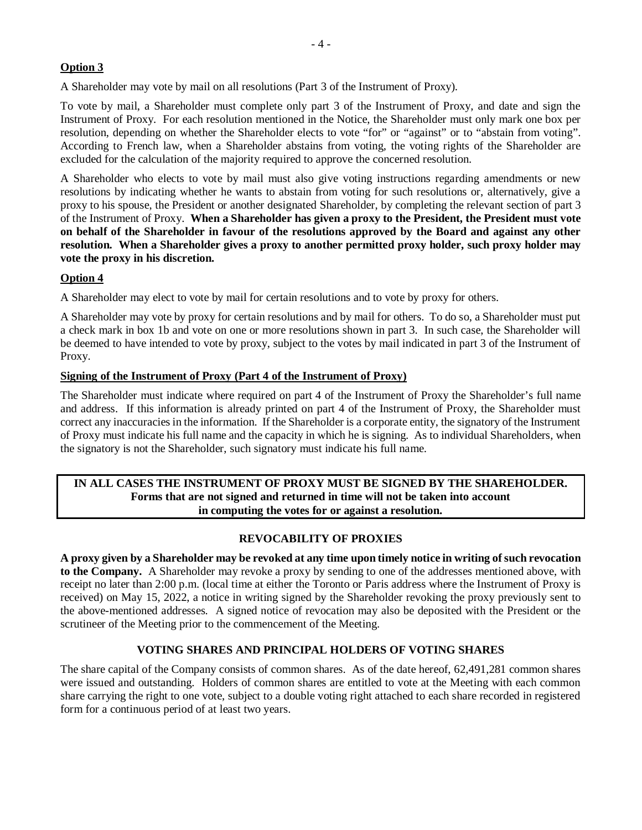# **Option 3**

A Shareholder may vote by mail on all resolutions (Part 3 of the Instrument of Proxy).

To vote by mail, a Shareholder must complete only part 3 of the Instrument of Proxy, and date and sign the Instrument of Proxy. For each resolution mentioned in the Notice, the Shareholder must only mark one box per resolution, depending on whether the Shareholder elects to vote "for" or "against" or to "abstain from voting". According to French law, when a Shareholder abstains from voting, the voting rights of the Shareholder are excluded for the calculation of the majority required to approve the concerned resolution.

A Shareholder who elects to vote by mail must also give voting instructions regarding amendments or new resolutions by indicating whether he wants to abstain from voting for such resolutions or, alternatively, give a proxy to his spouse, the President or another designated Shareholder, by completing the relevant section of part 3 of the Instrument of Proxy. **When a Shareholder has given a proxy to the President, the President must vote on behalf of the Shareholder in favour of the resolutions approved by the Board and against any other resolution. When a Shareholder gives a proxy to another permitted proxy holder, such proxy holder may vote the proxy in his discretion.**

# **Option 4**

A Shareholder may elect to vote by mail for certain resolutions and to vote by proxy for others.

A Shareholder may vote by proxy for certain resolutions and by mail for others. To do so, a Shareholder must put a check mark in box 1b and vote on one or more resolutions shown in part 3. In such case, the Shareholder will be deemed to have intended to vote by proxy, subject to the votes by mail indicated in part 3 of the Instrument of Proxy.

### **Signing of the Instrument of Proxy (Part 4 of the Instrument of Proxy)**

The Shareholder must indicate where required on part 4 of the Instrument of Proxy the Shareholder's full name and address. If this information is already printed on part 4 of the Instrument of Proxy, the Shareholder must correct any inaccuracies in the information. If the Shareholder is a corporate entity, the signatory of the Instrument of Proxy must indicate his full name and the capacity in which he is signing. As to individual Shareholders, when the signatory is not the Shareholder, such signatory must indicate his full name.

### **IN ALL CASES THE INSTRUMENT OF PROXY MUST BE SIGNED BY THE SHAREHOLDER. Forms that are not signed and returned in time will not be taken into account in computing the votes for or against a resolution.**

# **REVOCABILITY OF PROXIES**

**A proxy given by a Shareholder may be revoked at any time upon timely notice in writing of such revocation to the Company.** A Shareholder may revoke a proxy by sending to one of the addresses mentioned above, with receipt no later than 2:00 p.m. (local time at either the Toronto or Paris address where the Instrument of Proxy is received) on May 15, 2022, a notice in writing signed by the Shareholder revoking the proxy previously sent to the above-mentioned addresses. A signed notice of revocation may also be deposited with the President or the scrutineer of the Meeting prior to the commencement of the Meeting.

# **VOTING SHARES AND PRINCIPAL HOLDERS OF VOTING SHARES**

The share capital of the Company consists of common shares. As of the date hereof, 62,491,281 common shares were issued and outstanding. Holders of common shares are entitled to vote at the Meeting with each common share carrying the right to one vote, subject to a double voting right attached to each share recorded in registered form for a continuous period of at least two years.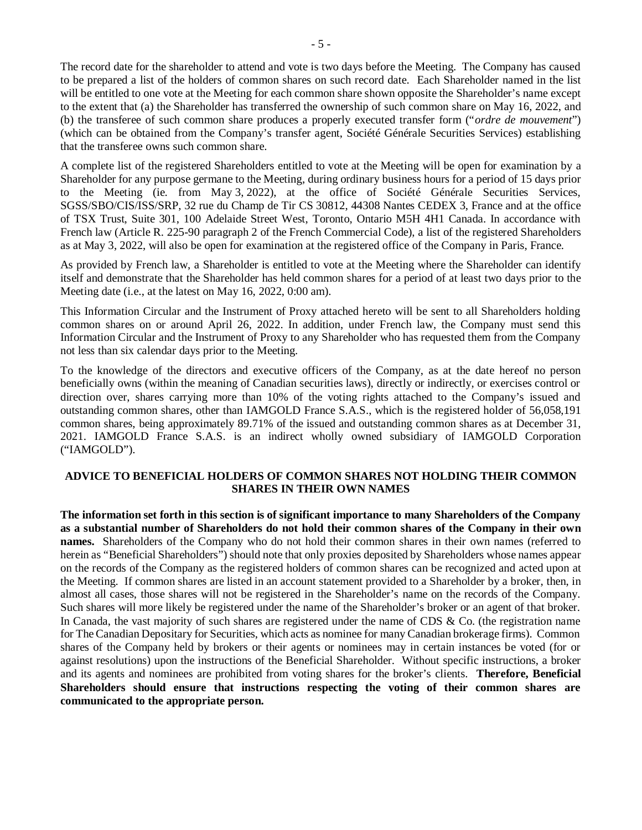The record date for the shareholder to attend and vote is two days before the Meeting. The Company has caused to be prepared a list of the holders of common shares on such record date. Each Shareholder named in the list will be entitled to one vote at the Meeting for each common share shown opposite the Shareholder's name except to the extent that (a) the Shareholder has transferred the ownership of such common share on May 16, 2022, and (b) the transferee of such common share produces a properly executed transfer form ("*ordre de mouvement*") (which can be obtained from the Company's transfer agent, Société Générale Securities Services) establishing that the transferee owns such common share.

A complete list of the registered Shareholders entitled to vote at the Meeting will be open for examination by a Shareholder for any purpose germane to the Meeting, during ordinary business hours for a period of 15 days prior to the Meeting (ie. from May 3, 2022), at the office of Société Générale Securities Services, SGSS/SBO/CIS/ISS/SRP, 32 rue du Champ de Tir CS 30812, 44308 Nantes CEDEX 3, France and at the office of TSX Trust, Suite 301, 100 Adelaide Street West, Toronto, Ontario M5H 4H1 Canada. In accordance with French law (Article R. 225-90 paragraph 2 of the French Commercial Code), a list of the registered Shareholders as at May 3, 2022, will also be open for examination at the registered office of the Company in Paris, France.

As provided by French law, a Shareholder is entitled to vote at the Meeting where the Shareholder can identify itself and demonstrate that the Shareholder has held common shares for a period of at least two days prior to the Meeting date (i.e., at the latest on May 16, 2022, 0:00 am).

This Information Circular and the Instrument of Proxy attached hereto will be sent to all Shareholders holding common shares on or around April 26, 2022. In addition, under French law, the Company must send this Information Circular and the Instrument of Proxy to any Shareholder who has requested them from the Company not less than six calendar days prior to the Meeting.

To the knowledge of the directors and executive officers of the Company, as at the date hereof no person beneficially owns (within the meaning of Canadian securities laws), directly or indirectly, or exercises control or direction over, shares carrying more than 10% of the voting rights attached to the Company's issued and outstanding common shares, other than IAMGOLD France S.A.S., which is the registered holder of 56,058,191 common shares, being approximately 89.71% of the issued and outstanding common shares as at December 31, 2021. IAMGOLD France S.A.S. is an indirect wholly owned subsidiary of IAMGOLD Corporation ("IAMGOLD").

### **ADVICE TO BENEFICIAL HOLDERS OF COMMON SHARES NOT HOLDING THEIR COMMON SHARES IN THEIR OWN NAMES**

**The information set forth in this section is of significant importance to many Shareholders of the Company as a substantial number of Shareholders do not hold their common shares of the Company in their own names.** Shareholders of the Company who do not hold their common shares in their own names (referred to herein as "Beneficial Shareholders") should note that only proxies deposited by Shareholders whose names appear on the records of the Company as the registered holders of common shares can be recognized and acted upon at the Meeting. If common shares are listed in an account statement provided to a Shareholder by a broker, then, in almost all cases, those shares will not be registered in the Shareholder's name on the records of the Company. Such shares will more likely be registered under the name of the Shareholder's broker or an agent of that broker. In Canada, the vast majority of such shares are registered under the name of CDS & Co. (the registration name for The Canadian Depositary for Securities, which acts as nominee for many Canadian brokerage firms). Common shares of the Company held by brokers or their agents or nominees may in certain instances be voted (for or against resolutions) upon the instructions of the Beneficial Shareholder. Without specific instructions, a broker and its agents and nominees are prohibited from voting shares for the broker's clients. **Therefore, Beneficial Shareholders should ensure that instructions respecting the voting of their common shares are communicated to the appropriate person.**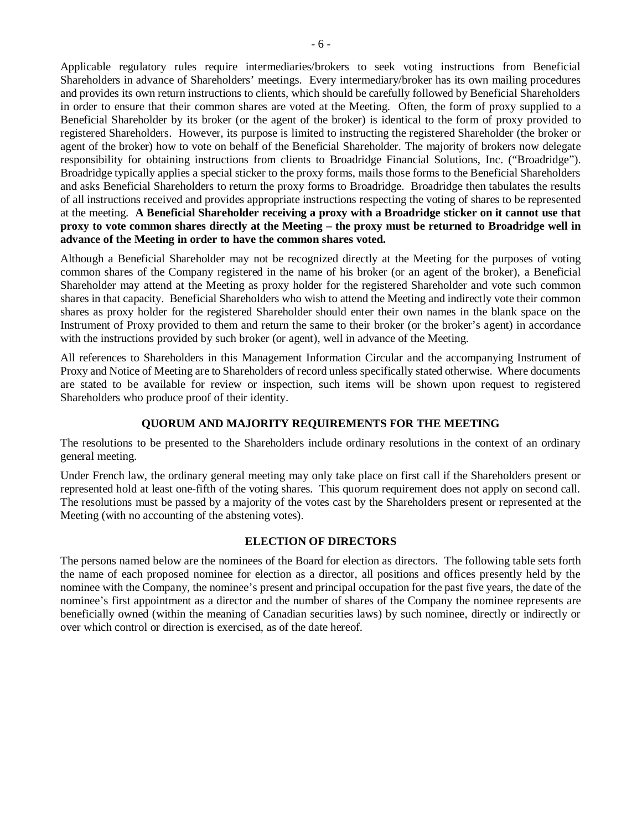Applicable regulatory rules require intermediaries/brokers to seek voting instructions from Beneficial Shareholders in advance of Shareholders' meetings. Every intermediary/broker has its own mailing procedures and provides its own return instructions to clients, which should be carefully followed by Beneficial Shareholders in order to ensure that their common shares are voted at the Meeting. Often, the form of proxy supplied to a Beneficial Shareholder by its broker (or the agent of the broker) is identical to the form of proxy provided to registered Shareholders. However, its purpose is limited to instructing the registered Shareholder (the broker or agent of the broker) how to vote on behalf of the Beneficial Shareholder. The majority of brokers now delegate responsibility for obtaining instructions from clients to Broadridge Financial Solutions, Inc. ("Broadridge"). Broadridge typically applies a special sticker to the proxy forms, mails those forms to the Beneficial Shareholders and asks Beneficial Shareholders to return the proxy forms to Broadridge. Broadridge then tabulates the results of all instructions received and provides appropriate instructions respecting the voting of shares to be represented at the meeting. **A Beneficial Shareholder receiving a proxy with a Broadridge sticker on it cannot use that proxy to vote common shares directly at the Meeting – the proxy must be returned to Broadridge well in advance of the Meeting in order to have the common shares voted.**

Although a Beneficial Shareholder may not be recognized directly at the Meeting for the purposes of voting common shares of the Company registered in the name of his broker (or an agent of the broker), a Beneficial Shareholder may attend at the Meeting as proxy holder for the registered Shareholder and vote such common shares in that capacity. Beneficial Shareholders who wish to attend the Meeting and indirectly vote their common shares as proxy holder for the registered Shareholder should enter their own names in the blank space on the Instrument of Proxy provided to them and return the same to their broker (or the broker's agent) in accordance with the instructions provided by such broker (or agent), well in advance of the Meeting.

All references to Shareholders in this Management Information Circular and the accompanying Instrument of Proxy and Notice of Meeting are to Shareholders of record unless specifically stated otherwise. Where documents are stated to be available for review or inspection, such items will be shown upon request to registered Shareholders who produce proof of their identity.

### **QUORUM AND MAJORITY REQUIREMENTS FOR THE MEETING**

The resolutions to be presented to the Shareholders include ordinary resolutions in the context of an ordinary general meeting.

Under French law, the ordinary general meeting may only take place on first call if the Shareholders present or represented hold at least one-fifth of the voting shares. This quorum requirement does not apply on second call. The resolutions must be passed by a majority of the votes cast by the Shareholders present or represented at the Meeting (with no accounting of the abstening votes).

### **ELECTION OF DIRECTORS**

The persons named below are the nominees of the Board for election as directors. The following table sets forth the name of each proposed nominee for election as a director, all positions and offices presently held by the nominee with the Company, the nominee's present and principal occupation for the past five years, the date of the nominee's first appointment as a director and the number of shares of the Company the nominee represents are beneficially owned (within the meaning of Canadian securities laws) by such nominee, directly or indirectly or over which control or direction is exercised, as of the date hereof.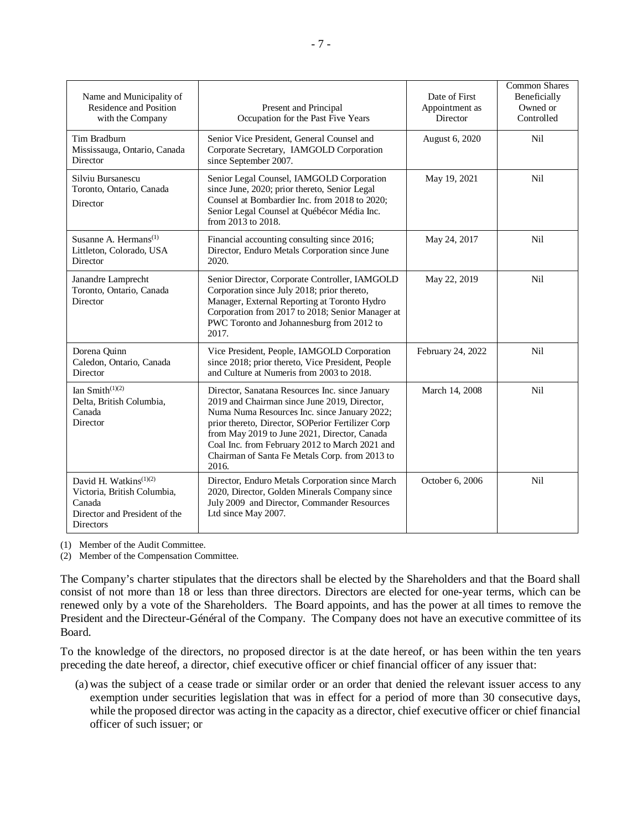| Name and Municipality of<br>Residence and Position<br>with the Company                                                    | Present and Principal<br>Occupation for the Past Five Years                                                                                                                                                                                                                                                                                                       | Date of First<br>Appointment as<br>Director | Common Shares<br>Beneficially<br>Owned or<br>Controlled |
|---------------------------------------------------------------------------------------------------------------------------|-------------------------------------------------------------------------------------------------------------------------------------------------------------------------------------------------------------------------------------------------------------------------------------------------------------------------------------------------------------------|---------------------------------------------|---------------------------------------------------------|
| Tim Bradburn<br>Mississauga, Ontario, Canada<br>Director                                                                  | Senior Vice President, General Counsel and<br>Corporate Secretary, IAMGOLD Corporation<br>since September 2007.                                                                                                                                                                                                                                                   | August 6, 2020                              | Nil                                                     |
| Silviu Bursanescu<br>Toronto, Ontario, Canada<br>Director                                                                 | Senior Legal Counsel, IAMGOLD Corporation<br>since June, 2020; prior thereto, Senior Legal<br>Counsel at Bombardier Inc. from 2018 to 2020;<br>Senior Legal Counsel at Québécor Média Inc.<br>from 2013 to 2018.                                                                                                                                                  | May 19, 2021                                | Nil                                                     |
| Susanne A. Hermans <sup>(1)</sup><br>Littleton, Colorado, USA<br>Director                                                 | Financial accounting consulting since 2016;<br>Director, Enduro Metals Corporation since June<br>2020.                                                                                                                                                                                                                                                            | May 24, 2017                                | Nil                                                     |
| Janandre Lamprecht<br>Toronto, Ontario, Canada<br>Director                                                                | Senior Director, Corporate Controller, IAMGOLD<br>Corporation since July 2018; prior thereto,<br>Manager, External Reporting at Toronto Hydro<br>Corporation from 2017 to 2018; Senior Manager at<br>PWC Toronto and Johannesburg from 2012 to<br>2017.                                                                                                           | May 22, 2019                                | Nil                                                     |
| Dorena Quinn<br>Caledon, Ontario, Canada<br>Director                                                                      | Vice President, People, IAMGOLD Corporation<br>since 2018; prior thereto, Vice President, People<br>and Culture at Numeris from 2003 to 2018.                                                                                                                                                                                                                     | February 24, 2022                           | Nil                                                     |
| Ian Smith $(1)(2)$<br>Delta, British Columbia,<br>Canada<br>Director                                                      | Director, Sanatana Resources Inc. since January<br>2019 and Chairman since June 2019, Director,<br>Numa Numa Resources Inc. since January 2022;<br>prior thereto, Director, SOPerior Fertilizer Corp<br>from May 2019 to June 2021, Director, Canada<br>Coal Inc. from February 2012 to March 2021 and<br>Chairman of Santa Fe Metals Corp. from 2013 to<br>2016. | March 14, 2008                              | Nil                                                     |
| David H. Watkins <sup>(1)(2)</sup><br>Victoria, British Columbia,<br>Canada<br>Director and President of the<br>Directors | Director, Enduro Metals Corporation since March<br>2020, Director, Golden Minerals Company since<br>July 2009 and Director, Commander Resources<br>Ltd since May 2007.                                                                                                                                                                                            | October 6, 2006                             | Nil                                                     |

(1) Member of the Audit Committee.

(2) Member of the Compensation Committee.

The Company's charter stipulates that the directors shall be elected by the Shareholders and that the Board shall consist of not more than 18 or less than three directors. Directors are elected for one-year terms, which can be renewed only by a vote of the Shareholders. The Board appoints, and has the power at all times to remove the President and the Directeur-Général of the Company. The Company does not have an executive committee of its Board.

To the knowledge of the directors, no proposed director is at the date hereof, or has been within the ten years preceding the date hereof, a director, chief executive officer or chief financial officer of any issuer that:

(a) was the subject of a cease trade or similar order or an order that denied the relevant issuer access to any exemption under securities legislation that was in effect for a period of more than 30 consecutive days, while the proposed director was acting in the capacity as a director, chief executive officer or chief financial officer of such issuer; or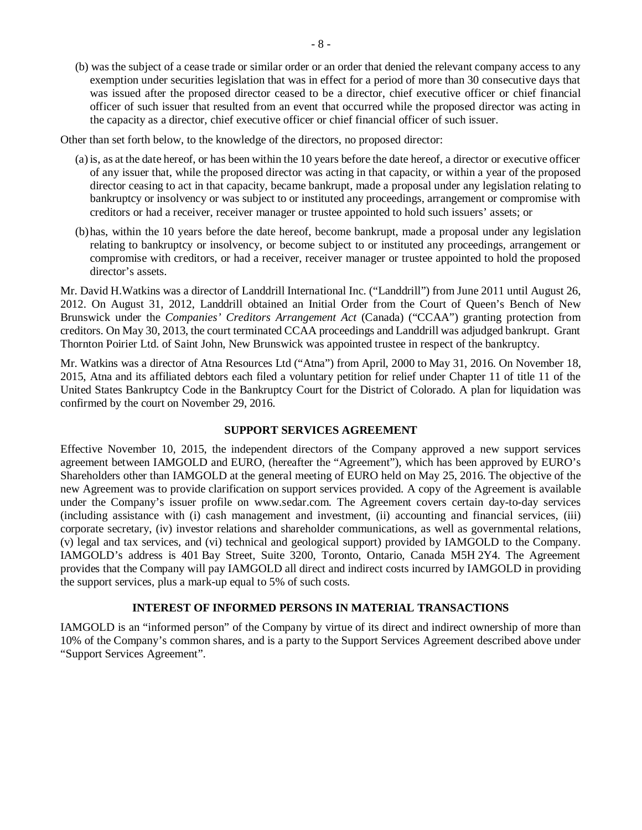(b) was the subject of a cease trade or similar order or an order that denied the relevant company access to any exemption under securities legislation that was in effect for a period of more than 30 consecutive days that was issued after the proposed director ceased to be a director, chief executive officer or chief financial officer of such issuer that resulted from an event that occurred while the proposed director was acting in the capacity as a director, chief executive officer or chief financial officer of such issuer.

Other than set forth below, to the knowledge of the directors, no proposed director:

- (a) is, as at the date hereof, or has been within the 10 years before the date hereof, a director or executive officer of any issuer that, while the proposed director was acting in that capacity, or within a year of the proposed director ceasing to act in that capacity, became bankrupt, made a proposal under any legislation relating to bankruptcy or insolvency or was subject to or instituted any proceedings, arrangement or compromise with creditors or had a receiver, receiver manager or trustee appointed to hold such issuers' assets; or
- (b)has, within the 10 years before the date hereof, become bankrupt, made a proposal under any legislation relating to bankruptcy or insolvency, or become subject to or instituted any proceedings, arrangement or compromise with creditors, or had a receiver, receiver manager or trustee appointed to hold the proposed director's assets.

Mr. David H.Watkins was a director of Landdrill International Inc. ("Landdrill") from June 2011 until August 26, 2012. On August 31, 2012, Landdrill obtained an Initial Order from the Court of Queen's Bench of New Brunswick under the *Companies' Creditors Arrangement Act* (Canada) ("CCAA") granting protection from creditors. On May 30, 2013, the court terminated CCAA proceedings and Landdrill was adjudged bankrupt. Grant Thornton Poirier Ltd. of Saint John, New Brunswick was appointed trustee in respect of the bankruptcy.

Mr. Watkins was a director of Atna Resources Ltd ("Atna") from April, 2000 to May 31, 2016. On November 18, 2015, Atna and its affiliated debtors each filed a voluntary petition for relief under Chapter 11 of title 11 of the United States Bankruptcy Code in the Bankruptcy Court for the District of Colorado. A plan for liquidation was confirmed by the court on November 29, 2016.

### **SUPPORT SERVICES AGREEMENT**

Effective November 10, 2015, the independent directors of the Company approved a new support services agreement between IAMGOLD and EURO, (hereafter the "Agreement"), which has been approved by EURO's Shareholders other than IAMGOLD at the general meeting of EURO held on May 25, 2016. The objective of the new Agreement was to provide clarification on support services provided. A copy of the Agreement is available under the Company's issuer profile on [www.sedar.com.](http://www.sedar.com/) The Agreement covers certain day-to-day services (including assistance with (i) cash management and investment, (ii) accounting and financial services, (iii) corporate secretary, (iv) investor relations and shareholder communications, as well as governmental relations, (v) legal and tax services, and (vi) technical and geological support) provided by IAMGOLD to the Company. IAMGOLD's address is 401 Bay Street, Suite 3200, Toronto, Ontario, Canada M5H 2Y4. The Agreement provides that the Company will pay IAMGOLD all direct and indirect costs incurred by IAMGOLD in providing the support services, plus a mark-up equal to 5% of such costs.

### **INTEREST OF INFORMED PERSONS IN MATERIAL TRANSACTIONS**

IAMGOLD is an "informed person" of the Company by virtue of its direct and indirect ownership of more than 10% of the Company's common shares, and is a party to the Support Services Agreement described above under "Support Services Agreement".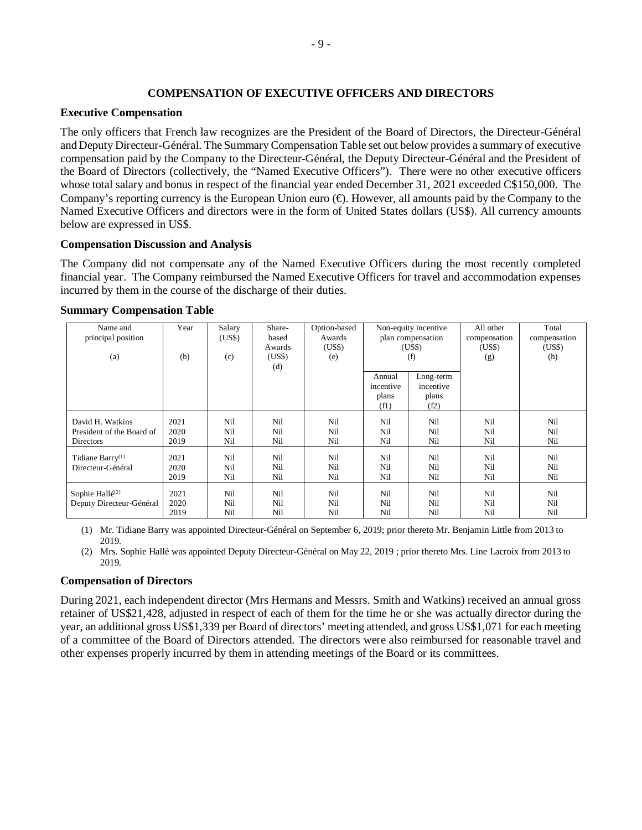### **COMPENSATION OF EXECUTIVE OFFICERS AND DIRECTORS**

#### **Executive Compensation**

The only officers that French law recognizes are the President of the Board of Directors, the Directeur-Général and Deputy Directeur-Général. The Summary Compensation Table set out below provides a summary of executive compensation paid by the Company to the Directeur-Général, the Deputy Directeur-Général and the President of the Board of Directors (collectively, the "Named Executive Officers"). There were no other executive officers whose total salary and bonus in respect of the financial year ended December 31, 2021 exceeded C\$150,000. The Company's reporting currency is the European Union euro  $(\bigoplus$ . However, all amounts paid by the Company to the Named Executive Officers and directors were in the form of United States dollars (US\$). All currency amounts below are expressed in US\$.

### **Compensation Discussion and Analysis**

The Company did not compensate any of the Named Executive Officers during the most recently completed financial year. The Company reimbursed the Named Executive Officers for travel and accommodation expenses incurred by them in the course of the discharge of their duties.

| Name and<br>principal position                                    | Year                 | Salary<br>(USS)   | Share-<br>based<br>Awards | Option-based<br>Awards<br>(USS) |                                      | Non-equity incentive<br>plan compensation | All other<br>compensation<br>(US\$) | Total<br>compensation<br>(US\$) |
|-------------------------------------------------------------------|----------------------|-------------------|---------------------------|---------------------------------|--------------------------------------|-------------------------------------------|-------------------------------------|---------------------------------|
| (a)                                                               | (b)                  | (c)               | (US\$)<br>(d)             | (e)                             | (USS)<br>(f)                         |                                           | (g)                                 | (h)                             |
|                                                                   |                      |                   |                           |                                 | Annual<br>incentive<br>plans<br>(f1) | Long-term<br>incentive<br>plans<br>(f2)   |                                     |                                 |
| David H. Watkins<br>President of the Board of<br><b>Directors</b> | 2021<br>2020<br>2019 | Nil<br>Nil<br>Nil | Nil<br>Nil<br>Nil         | Nil<br>Nil<br>Nil               | Nil<br>Nil<br>Nil                    | Nil<br>Nil<br>Nil                         | Nil<br>Nil<br>Nil                   | Nil<br>Nil<br>Nil               |
| Tidiane Barry <sup>(1)</sup><br>Directeur-Général                 | 2021<br>2020<br>2019 | Nil<br>Nil<br>Nil | Nil<br>Nil<br>Nil         | Nil<br>Nil<br>Nil               | Nil<br>Nil<br>Nil                    | Nil<br>Nil<br>Nil                         | Nil<br>Nil<br>Nil                   | Nil<br>Nil<br>Nil               |
| Sophie Hallé <sup>(2)</sup><br>Deputy Directeur-Général           | 2021<br>2020<br>2019 | Nil<br>Nil<br>Nil | Nil<br>Nil<br>Nil         | Nil<br>Nil<br>Nil               | Nil<br>Nil<br>Nil                    | Nil<br>Nil<br>Nil                         | Nil<br>Nil<br>Nil                   | Nil<br>Nil<br>Nil               |

#### **Summary Compensation Table**

(1) Mr. Tidiane Barry was appointed Directeur-Général on September 6, 2019; prior thereto Mr. Benjamin Little from 2013 to 2019.

(2) Mrs. Sophie Hallé was appointed Deputy Directeur-Général on May 22, 2019 ; prior thereto Mrs. Line Lacroix from 2013 to 2019.

#### **Compensation of Directors**

During 2021, each independent director (Mrs Hermans and Messrs. Smith and Watkins) received an annual gross retainer of US\$21,428, adjusted in respect of each of them for the time he or she was actually director during the year, an additional gross US\$1,339 per Board of directors' meeting attended, and gross US\$1,071 for each meeting of a committee of the Board of Directors attended. The directors were also reimbursed for reasonable travel and other expenses properly incurred by them in attending meetings of the Board or its committees.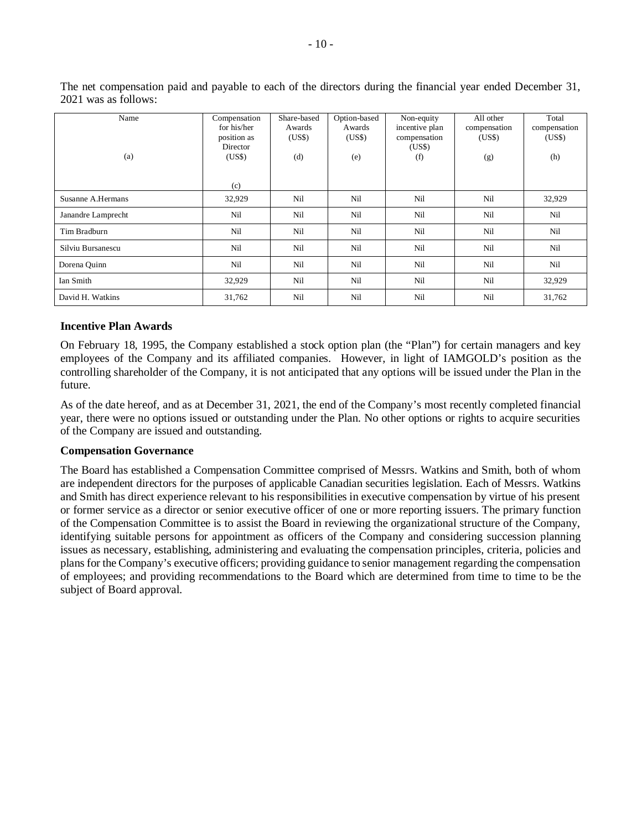| Name               | Compensation | Share-based | Option-based | Non-equity     | All other    | Total        |
|--------------------|--------------|-------------|--------------|----------------|--------------|--------------|
|                    | for his/her  | Awards      | Awards       | incentive plan | compensation | compensation |
|                    | position as  | (US\$)      | (US\$)       | compensation   | (US\$)       | (US\$)       |
|                    | Director     |             |              | (US\$)         |              |              |
| (a)                | (US\$)       | (d)         | (e)          | (f)            | (g)          | (h)          |
|                    |              |             |              |                |              |              |
|                    | (c)          |             |              |                |              |              |
| Susanne A.Hermans  | 32,929       | Nil         | Nil          | Nil            | Nil          | 32,929       |
| Janandre Lamprecht | Nil          | Nil         | Nil          | Nil            | Nil          | Nil          |
| Tim Bradburn       | Nil          | Nil         | Nil          | Nil            | Nil          | Nil          |
| Silviu Bursanescu  | Nil          | Nil         | Nil          | Nil            | Nil          | Nil          |
| Dorena Quinn       | Nil          | Nil         | Nil          | Nil            | Nil          | Nil          |
| Ian Smith          | 32,929       | Nil         | Nil          | Nil            | Nil          | 32,929       |
| David H. Watkins   | 31,762       | Nil         | Nil          | Nil            | Nil          | 31,762       |

The net compensation paid and payable to each of the directors during the financial year ended December 31, 2021 was as follows:

#### **Incentive Plan Awards**

On February 18, 1995, the Company established a stock option plan (the "Plan") for certain managers and key employees of the Company and its affiliated companies. However, in light of IAMGOLD's position as the controlling shareholder of the Company, it is not anticipated that any options will be issued under the Plan in the future.

As of the date hereof, and as at December 31, 2021, the end of the Company's most recently completed financial year, there were no options issued or outstanding under the Plan. No other options or rights to acquire securities of the Company are issued and outstanding.

#### **Compensation Governance**

The Board has established a Compensation Committee comprised of Messrs. Watkins and Smith, both of whom are independent directors for the purposes of applicable Canadian securities legislation. Each of Messrs. Watkins and Smith has direct experience relevant to his responsibilities in executive compensation by virtue of his present or former service as a director or senior executive officer of one or more reporting issuers. The primary function of the Compensation Committee is to assist the Board in reviewing the organizational structure of the Company, identifying suitable persons for appointment as officers of the Company and considering succession planning issues as necessary, establishing, administering and evaluating the compensation principles, criteria, policies and plans for the Company's executive officers; providing guidance to senior management regarding the compensation of employees; and providing recommendations to the Board which are determined from time to time to be the subject of Board approval.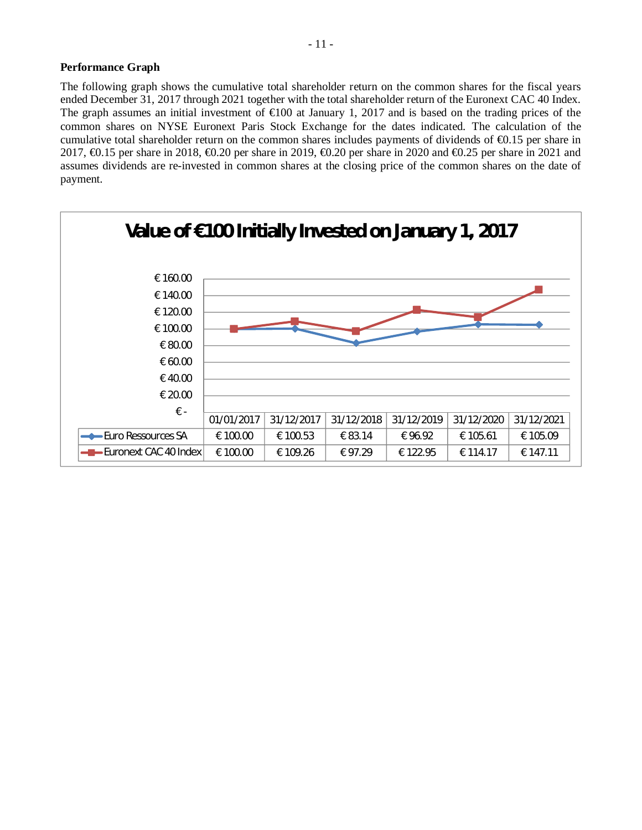### **Performance Graph**

The following graph shows the cumulative total shareholder return on the common shares for the fiscal years ended December 31, 2017 through 2021 together with the total shareholder return of the Euronext CAC 40 Index. The graph assumes an initial investment of  $\epsilon 000$  at January 1, 2017 and is based on the trading prices of the common shares on NYSE Euronext Paris Stock Exchange for the dates indicated. The calculation of the cumulative total shareholder return on the common shares includes payments of dividends of €0.15 per share in 2017, €0.15 per share in 2018, €0.20 per share in 2019, €0.20 per share in 2020 and €0.25 per share in 2021 and assumes dividends are re-invested in common shares at the closing price of the common shares on the date of payment.

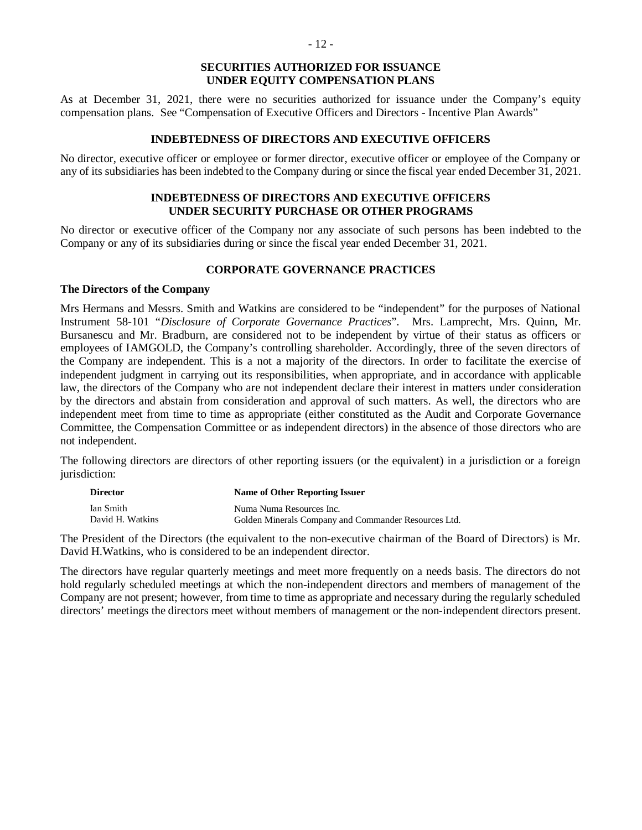### **SECURITIES AUTHORIZED FOR ISSUANCE UNDER EQUITY COMPENSATION PLANS**

As at December 31, 2021, there were no securities authorized for issuance under the Company's equity compensation plans. See "Compensation of Executive Officers and Directors - Incentive Plan Awards"

### **INDEBTEDNESS OF DIRECTORS AND EXECUTIVE OFFICERS**

No director, executive officer or employee or former director, executive officer or employee of the Company or any of its subsidiaries has been indebted to the Company during or since the fiscal year ended December 31, 2021.

### **INDEBTEDNESS OF DIRECTORS AND EXECUTIVE OFFICERS UNDER SECURITY PURCHASE OR OTHER PROGRAMS**

No director or executive officer of the Company nor any associate of such persons has been indebted to the Company or any of its subsidiaries during or since the fiscal year ended December 31, 2021.

### **CORPORATE GOVERNANCE PRACTICES**

### **The Directors of the Company**

Mrs Hermans and Messrs. Smith and Watkins are considered to be "independent" for the purposes of National Instrument 58-101 "*Disclosure of Corporate Governance Practices*". Mrs. Lamprecht, Mrs. Quinn, Mr. Bursanescu and Mr. Bradburn, are considered not to be independent by virtue of their status as officers or employees of IAMGOLD, the Company's controlling shareholder. Accordingly, three of the seven directors of the Company are independent. This is a not a majority of the directors. In order to facilitate the exercise of independent judgment in carrying out its responsibilities, when appropriate, and in accordance with applicable law, the directors of the Company who are not independent declare their interest in matters under consideration by the directors and abstain from consideration and approval of such matters. As well, the directors who are independent meet from time to time as appropriate (either constituted as the Audit and Corporate Governance Committee, the Compensation Committee or as independent directors) in the absence of those directors who are not independent.

The following directors are directors of other reporting issuers (or the equivalent) in a jurisdiction or a foreign jurisdiction:

| <b>Director</b>  | Name of Other Reporting Issuer                       |
|------------------|------------------------------------------------------|
| Ian Smith        | Numa Numa Resources Inc.                             |
| David H. Watkins | Golden Minerals Company and Commander Resources Ltd. |

The President of the Directors (the equivalent to the non-executive chairman of the Board of Directors) is Mr. David H.Watkins, who is considered to be an independent director.

The directors have regular quarterly meetings and meet more frequently on a needs basis. The directors do not hold regularly scheduled meetings at which the non-independent directors and members of management of the Company are not present; however, from time to time as appropriate and necessary during the regularly scheduled directors' meetings the directors meet without members of management or the non-independent directors present.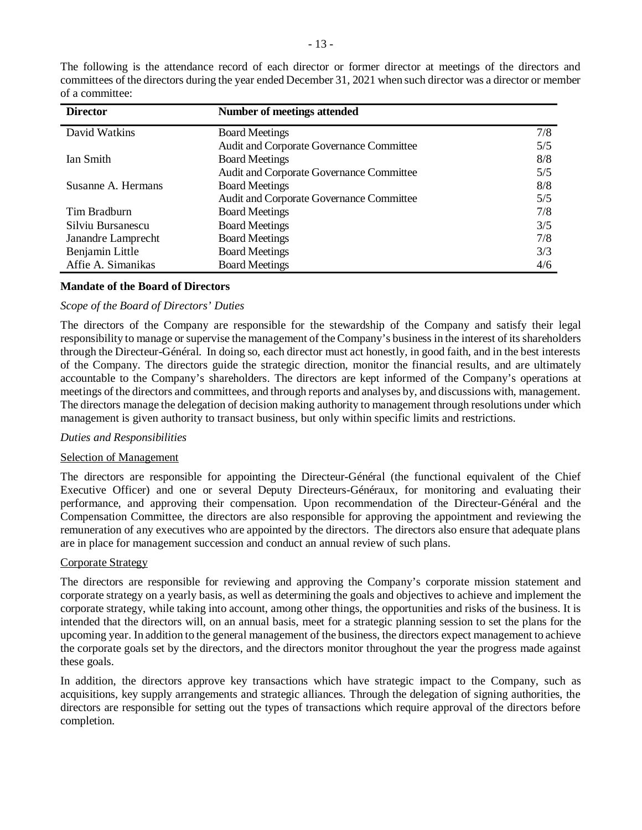| <b>Director</b>    | Number of meetings attended                     |     |
|--------------------|-------------------------------------------------|-----|
| David Watkins      | <b>Board Meetings</b>                           | 7/8 |
|                    | <b>Audit and Corporate Governance Committee</b> | 5/5 |
| Ian Smith          | <b>Board Meetings</b>                           | 8/8 |
|                    | Audit and Corporate Governance Committee        | 5/5 |
| Susanne A. Hermans | <b>Board Meetings</b>                           | 8/8 |
|                    | Audit and Corporate Governance Committee        | 5/5 |
| Tim Bradburn       | <b>Board Meetings</b>                           | 7/8 |
| Silviu Bursanescu  | <b>Board Meetings</b>                           | 3/5 |
| Janandre Lamprecht | <b>Board Meetings</b>                           | 7/8 |
| Benjamin Little    | <b>Board Meetings</b>                           | 3/3 |
| Affie A. Simanikas | <b>Board Meetings</b>                           | 4/6 |

The following is the attendance record of each director or former director at meetings of the directors and committees of the directors during the year ended December 31, 2021 when such director was a director or member of a committee:

#### **Mandate of the Board of Directors**

#### *Scope of the Board of Directors' Duties*

The directors of the Company are responsible for the stewardship of the Company and satisfy their legal responsibility to manage or supervise the management of the Company's business in the interest of its shareholders through the Directeur-Général. In doing so, each director must act honestly, in good faith, and in the best interests of the Company. The directors guide the strategic direction, monitor the financial results, and are ultimately accountable to the Company's shareholders. The directors are kept informed of the Company's operations at meetings of the directors and committees, and through reports and analyses by, and discussions with, management. The directors manage the delegation of decision making authority to management through resolutions under which management is given authority to transact business, but only within specific limits and restrictions.

#### *Duties and Responsibilities*

#### Selection of Management

The directors are responsible for appointing the Directeur-Général (the functional equivalent of the Chief Executive Officer) and one or several Deputy Directeurs-Généraux, for monitoring and evaluating their performance, and approving their compensation. Upon recommendation of the Directeur-Général and the Compensation Committee, the directors are also responsible for approving the appointment and reviewing the remuneration of any executives who are appointed by the directors. The directors also ensure that adequate plans are in place for management succession and conduct an annual review of such plans.

#### Corporate Strategy

The directors are responsible for reviewing and approving the Company's corporate mission statement and corporate strategy on a yearly basis, as well as determining the goals and objectives to achieve and implement the corporate strategy, while taking into account, among other things, the opportunities and risks of the business. It is intended that the directors will, on an annual basis, meet for a strategic planning session to set the plans for the upcoming year. In addition to the general management of the business, the directors expect management to achieve the corporate goals set by the directors, and the directors monitor throughout the year the progress made against these goals.

In addition, the directors approve key transactions which have strategic impact to the Company, such as acquisitions, key supply arrangements and strategic alliances. Through the delegation of signing authorities, the directors are responsible for setting out the types of transactions which require approval of the directors before completion.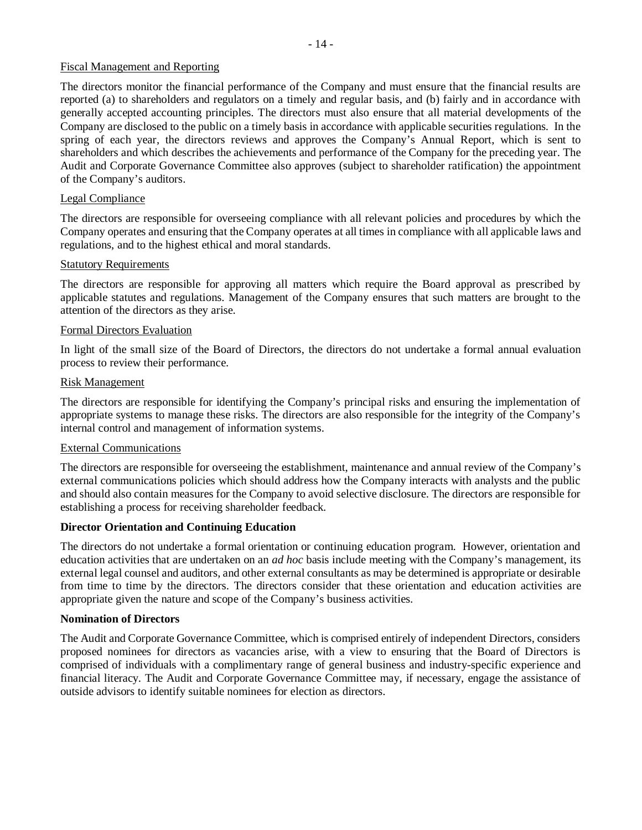### Fiscal Management and Reporting

The directors monitor the financial performance of the Company and must ensure that the financial results are reported (a) to shareholders and regulators on a timely and regular basis, and (b) fairly and in accordance with generally accepted accounting principles. The directors must also ensure that all material developments of the Company are disclosed to the public on a timely basis in accordance with applicable securities regulations. In the spring of each year, the directors reviews and approves the Company's Annual Report, which is sent to shareholders and which describes the achievements and performance of the Company for the preceding year. The Audit and Corporate Governance Committee also approves (subject to shareholder ratification) the appointment of the Company's auditors.

### Legal Compliance

The directors are responsible for overseeing compliance with all relevant policies and procedures by which the Company operates and ensuring that the Company operates at all times in compliance with all applicable laws and regulations, and to the highest ethical and moral standards.

#### Statutory Requirements

The directors are responsible for approving all matters which require the Board approval as prescribed by applicable statutes and regulations. Management of the Company ensures that such matters are brought to the attention of the directors as they arise.

### Formal Directors Evaluation

In light of the small size of the Board of Directors, the directors do not undertake a formal annual evaluation process to review their performance.

#### Risk Management

The directors are responsible for identifying the Company's principal risks and ensuring the implementation of appropriate systems to manage these risks. The directors are also responsible for the integrity of the Company's internal control and management of information systems.

#### External Communications

The directors are responsible for overseeing the establishment, maintenance and annual review of the Company's external communications policies which should address how the Company interacts with analysts and the public and should also contain measures for the Company to avoid selective disclosure. The directors are responsible for establishing a process for receiving shareholder feedback.

### **Director Orientation and Continuing Education**

The directors do not undertake a formal orientation or continuing education program. However, orientation and education activities that are undertaken on an *ad hoc* basis include meeting with the Company's management, its external legal counsel and auditors, and other external consultants as may be determined is appropriate or desirable from time to time by the directors. The directors consider that these orientation and education activities are appropriate given the nature and scope of the Company's business activities.

### **Nomination of Directors**

The Audit and Corporate Governance Committee, which is comprised entirely of independent Directors, considers proposed nominees for directors as vacancies arise, with a view to ensuring that the Board of Directors is comprised of individuals with a complimentary range of general business and industry-specific experience and financial literacy. The Audit and Corporate Governance Committee may, if necessary, engage the assistance of outside advisors to identify suitable nominees for election as directors.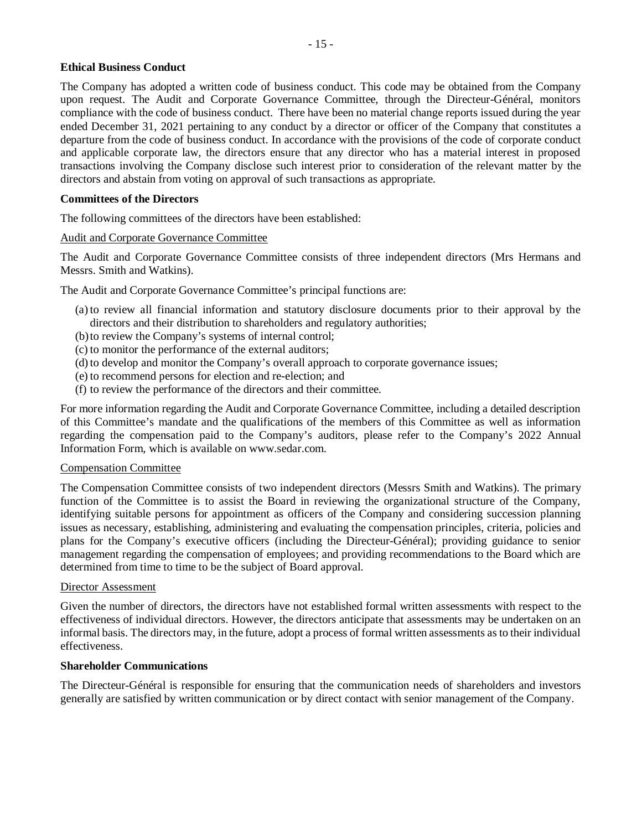### **Ethical Business Conduct**

The Company has adopted a written code of business conduct. This code may be obtained from the Company upon request. The Audit and Corporate Governance Committee, through the Directeur-Général, monitors compliance with the code of business conduct. There have been no material change reports issued during the year ended December 31, 2021 pertaining to any conduct by a director or officer of the Company that constitutes a departure from the code of business conduct. In accordance with the provisions of the code of corporate conduct and applicable corporate law, the directors ensure that any director who has a material interest in proposed transactions involving the Company disclose such interest prior to consideration of the relevant matter by the directors and abstain from voting on approval of such transactions as appropriate.

### **Committees of the Directors**

The following committees of the directors have been established:

### Audit and Corporate Governance Committee

The Audit and Corporate Governance Committee consists of three independent directors (Mrs Hermans and Messrs. Smith and Watkins).

The Audit and Corporate Governance Committee's principal functions are:

- (a) to review all financial information and statutory disclosure documents prior to their approval by the directors and their distribution to shareholders and regulatory authorities;
- (b)to review the Company's systems of internal control;
- (c) to monitor the performance of the external auditors;
- (d) to develop and monitor the Company's overall approach to corporate governance issues;
- (e) to recommend persons for election and re-election; and
- (f) to review the performance of the directors and their committee.

For more information regarding the Audit and Corporate Governance Committee, including a detailed description of this Committee's mandate and the qualifications of the members of this Committee as well as information regarding the compensation paid to the Company's auditors, please refer to the Company's 2022 Annual Information Form, which is available on www.sedar.com.

#### Compensation Committee

The Compensation Committee consists of two independent directors (Messrs Smith and Watkins). The primary function of the Committee is to assist the Board in reviewing the organizational structure of the Company, identifying suitable persons for appointment as officers of the Company and considering succession planning issues as necessary, establishing, administering and evaluating the compensation principles, criteria, policies and plans for the Company's executive officers (including the Directeur-Général); providing guidance to senior management regarding the compensation of employees; and providing recommendations to the Board which are determined from time to time to be the subject of Board approval.

#### Director Assessment

Given the number of directors, the directors have not established formal written assessments with respect to the effectiveness of individual directors. However, the directors anticipate that assessments may be undertaken on an informal basis. The directors may, in the future, adopt a process of formal written assessments as to their individual effectiveness.

#### **Shareholder Communications**

The Directeur-Général is responsible for ensuring that the communication needs of shareholders and investors generally are satisfied by written communication or by direct contact with senior management of the Company.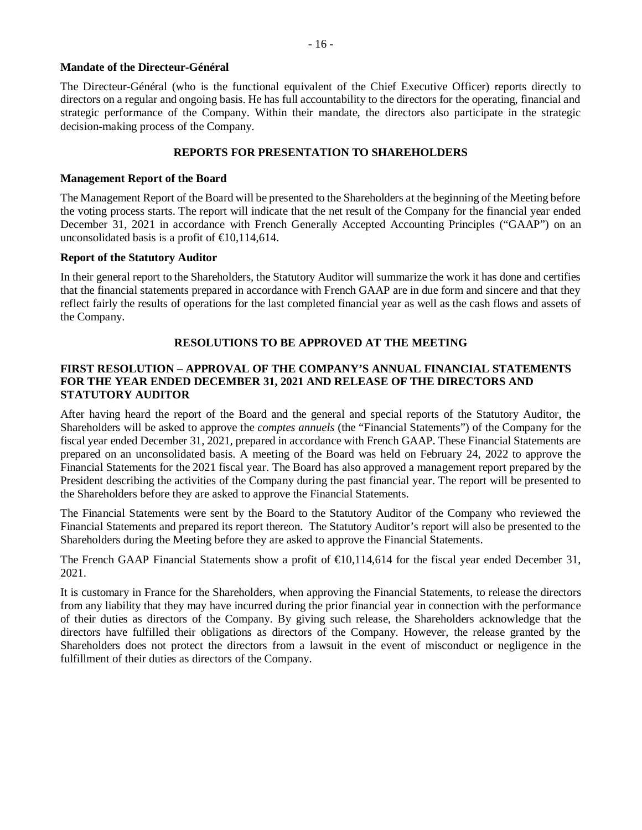### **Mandate of the Directeur-Général**

The Directeur-Général (who is the functional equivalent of the Chief Executive Officer) reports directly to directors on a regular and ongoing basis. He has full accountability to the directors for the operating, financial and strategic performance of the Company. Within their mandate, the directors also participate in the strategic decision-making process of the Company.

### **REPORTS FOR PRESENTATION TO SHAREHOLDERS**

### **Management Report of the Board**

The Management Report of the Board will be presented to the Shareholders at the beginning of the Meeting before the voting process starts. The report will indicate that the net result of the Company for the financial year ended December 31, 2021 in accordance with French Generally Accepted Accounting Principles ("GAAP") on an unconsolidated basis is a profit of  $\in 0,114,614$ .

### **Report of the Statutory Auditor**

In their general report to the Shareholders, the Statutory Auditor will summarize the work it has done and certifies that the financial statements prepared in accordance with French GAAP are in due form and sincere and that they reflect fairly the results of operations for the last completed financial year as well as the cash flows and assets of the Company.

# **RESOLUTIONS TO BE APPROVED AT THE MEETING**

### **FIRST RESOLUTION – APPROVAL OF THE COMPANY'S ANNUAL FINANCIAL STATEMENTS FOR THE YEAR ENDED DECEMBER 31, 2021 AND RELEASE OF THE DIRECTORS AND STATUTORY AUDITOR**

After having heard the report of the Board and the general and special reports of the Statutory Auditor, the Shareholders will be asked to approve the *comptes annuels* (the "Financial Statements") of the Company for the fiscal year ended December 31, 2021, prepared in accordance with French GAAP. These Financial Statements are prepared on an unconsolidated basis. A meeting of the Board was held on February 24, 2022 to approve the Financial Statements for the 2021 fiscal year. The Board has also approved a management report prepared by the President describing the activities of the Company during the past financial year. The report will be presented to the Shareholders before they are asked to approve the Financial Statements.

The Financial Statements were sent by the Board to the Statutory Auditor of the Company who reviewed the Financial Statements and prepared its report thereon. The Statutory Auditor's report will also be presented to the Shareholders during the Meeting before they are asked to approve the Financial Statements.

The French GAAP Financial Statements show a profit of  $\epsilon 0,114,614$  for the fiscal year ended December 31, 2021.

It is customary in France for the Shareholders, when approving the Financial Statements, to release the directors from any liability that they may have incurred during the prior financial year in connection with the performance of their duties as directors of the Company. By giving such release, the Shareholders acknowledge that the directors have fulfilled their obligations as directors of the Company. However, the release granted by the Shareholders does not protect the directors from a lawsuit in the event of misconduct or negligence in the fulfillment of their duties as directors of the Company.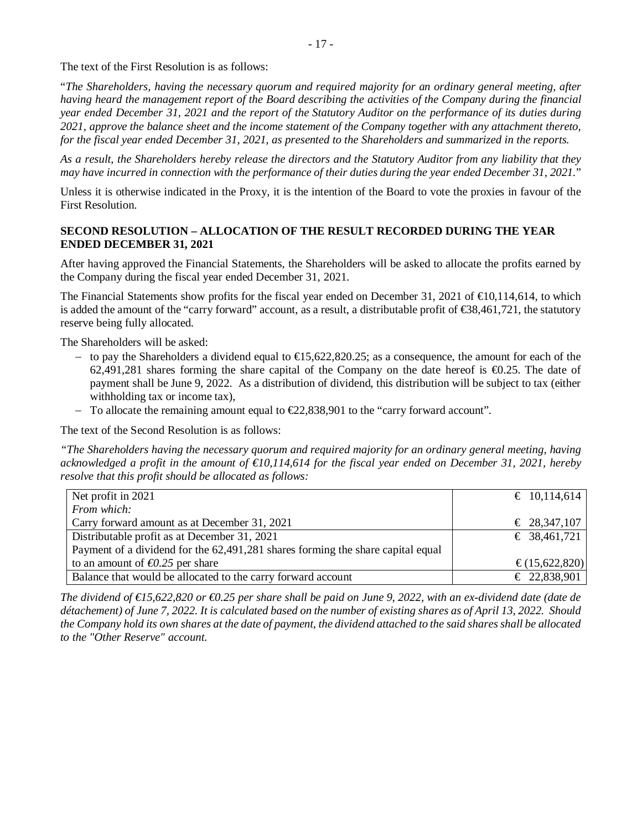The text of the First Resolution is as follows:

"*The Shareholders, having the necessary quorum and required majority for an ordinary general meeting, after having heard the management report of the Board describing the activities of the Company during the financial year ended December 31, 2021 and the report of the Statutory Auditor on the performance of its duties during 2021, approve the balance sheet and the income statement of the Company together with any attachment thereto, for the fiscal year ended December 31, 2021, as presented to the Shareholders and summarized in the reports.*

*As a result, the Shareholders hereby release the directors and the Statutory Auditor from any liability that they may have incurred in connection with the performance of their duties during the year ended December 31, 2021.*"

Unless it is otherwise indicated in the Proxy, it is the intention of the Board to vote the proxies in favour of the First Resolution.

# **SECOND RESOLUTION – ALLOCATION OF THE RESULT RECORDED DURING THE YEAR ENDED DECEMBER 31, 2021**

After having approved the Financial Statements, the Shareholders will be asked to allocate the profits earned by the Company during the fiscal year ended December 31, 2021.

The Financial Statements show profits for the fiscal year ended on December 31, 2021 of  $\epsilon$ 0,114,614, to which is added the amount of the "carry forward" account, as a result, a distributable profit of €38,461,721, the statutory reserve being fully allocated.

The Shareholders will be asked:

- to pay the Shareholders a dividend equal to  $\text{€}5,622,820.25$ ; as a consequence, the amount for each of the 62,491,281 shares forming the share capital of the Company on the date hereof is €0.25. The date of payment shall be June 9, 2022. As a distribution of dividend, this distribution will be subject to tax (either withholding tax or income tax),
- To allocate the remaining amount equal to  $\epsilon$ 22,838,901 to the "carry forward account".

The text of the Second Resolution is as follows:

*"The Shareholders having the necessary quorum and required majority for an ordinary general meeting, having acknowledged a profit in the amount of €10,114,614 for the fiscal year ended on December 31, 2021, hereby resolve that this profit should be allocated as follows:*

| Net profit in 2021                                                              | € 10,114,614     |
|---------------------------------------------------------------------------------|------------------|
| From which:                                                                     |                  |
| Carry forward amount as at December 31, 2021                                    | € 28,347,107     |
| Distributable profit as at December 31, 2021                                    | € 38,461,721     |
| Payment of a dividend for the 62,491,281 shares forming the share capital equal |                  |
| to an amount of $\epsilon 0.25$ per share                                       | € $(15,622,820)$ |
| Balance that would be allocated to the carry forward account                    | $£$ 22,838,901   |
|                                                                                 |                  |

*The dividend of €15,622,820 or €0.25 per share shall be paid on June 9, 2022, with an ex-dividend date (date de détachement) of June 7, 2022. It is calculated based on the number of existing shares as of April 13, 2022. Should the Company hold its own shares at the date of payment, the dividend attached to the said shares shall be allocated to the "Other Reserve" account.*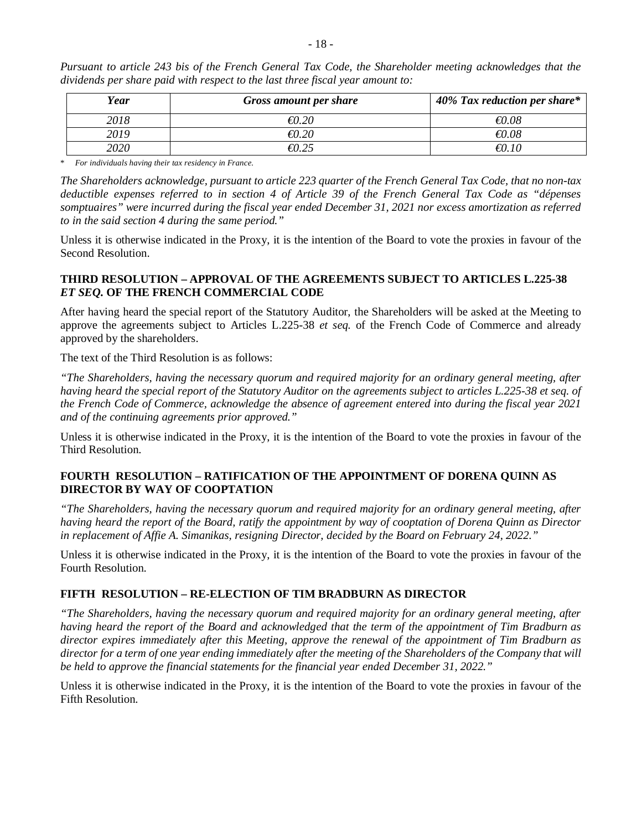| Year | <b>Gross amount per share</b> | 40% Tax reduction per share* |
|------|-------------------------------|------------------------------|
| 2018 | $\epsilon 0.20$               | $\epsilon 0.08$              |
| 2019 | €0.20                         | $\epsilon 0.08$              |
| 2020 |                               |                              |

*Pursuant to article 243 bis of the French General Tax Code, the Shareholder meeting acknowledges that the dividends per share paid with respect to the last three fiscal year amount to:*

\* *For individuals having their tax residency in France.*

*The Shareholders acknowledge, pursuant to article 223 quarter of the French General Tax Code, that no non-tax deductible expenses referred to in section 4 of Article 39 of the French General Tax Code as "dépenses somptuaires" were incurred during the fiscal year ended December 31, 2021 nor excess amortization as referred to in the said section 4 during the same period."*

Unless it is otherwise indicated in the Proxy, it is the intention of the Board to vote the proxies in favour of the Second Resolution.

### **THIRD RESOLUTION – APPROVAL OF THE AGREEMENTS SUBJECT TO ARTICLES L.225-38** *ET SEQ.* **OF THE FRENCH COMMERCIAL CODE**

After having heard the special report of the Statutory Auditor, the Shareholders will be asked at the Meeting to approve the agreements subject to Articles L.225-38 *et seq.* of the French Code of Commerce and already approved by the shareholders.

The text of the Third Resolution is as follows:

*"The Shareholders, having the necessary quorum and required majority for an ordinary general meeting, after having heard the special report of the Statutory Auditor on the agreements subject to articles L.225-38 et seq. of the French Code of Commerce, acknowledge the absence of agreement entered into during the fiscal year 2021 and of the continuing agreements prior approved."*

Unless it is otherwise indicated in the Proxy, it is the intention of the Board to vote the proxies in favour of the Third Resolution.

### **FOURTH RESOLUTION – RATIFICATION OF THE APPOINTMENT OF DORENA QUINN AS DIRECTOR BY WAY OF COOPTATION**

*"The Shareholders, having the necessary quorum and required majority for an ordinary general meeting, after having heard the report of the Board, ratify the appointment by way of cooptation of Dorena Quinn as Director in replacement of Affie A. Simanikas, resigning Director, decided by the Board on February 24, 2022."*

Unless it is otherwise indicated in the Proxy, it is the intention of the Board to vote the proxies in favour of the Fourth Resolution.

### **FIFTH RESOLUTION – RE-ELECTION OF TIM BRADBURN AS DIRECTOR**

*"The Shareholders, having the necessary quorum and required majority for an ordinary general meeting, after having heard the report of the Board and acknowledged that the term of the appointment of Tim Bradburn as director expires immediately after this Meeting, approve the renewal of the appointment of Tim Bradburn as director for a term of one year ending immediately after the meeting of the Shareholders of the Company that will be held to approve the financial statements for the financial year ended December 31, 2022."*

Unless it is otherwise indicated in the Proxy, it is the intention of the Board to vote the proxies in favour of the Fifth Resolution.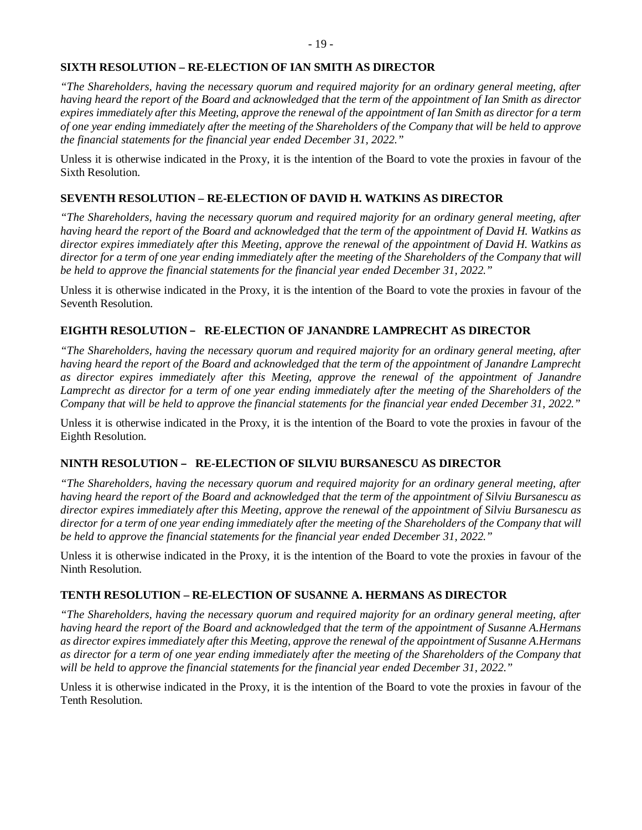### **SIXTH RESOLUTION – RE-ELECTION OF IAN SMITH AS DIRECTOR**

*"The Shareholders, having the necessary quorum and required majority for an ordinary general meeting, after having heard the report of the Board and acknowledged that the term of the appointment of Ian Smith as director expires immediately after this Meeting, approve the renewal of the appointment of Ian Smith as director for a term of one year ending immediately after the meeting of the Shareholders of the Company that will be held to approve the financial statements for the financial year ended December 31, 2022."*

Unless it is otherwise indicated in the Proxy, it is the intention of the Board to vote the proxies in favour of the Sixth Resolution.

# **SEVENTH RESOLUTION – RE-ELECTION OF DAVID H. WATKINS AS DIRECTOR**

*"The Shareholders, having the necessary quorum and required majority for an ordinary general meeting, after having heard the report of the Board and acknowledged that the term of the appointment of David H. Watkins as director expires immediately after this Meeting, approve the renewal of the appointment of David H. Watkins as director for a term of one year ending immediately after the meeting of the Shareholders of the Company that will be held to approve the financial statements for the financial year ended December 31, 2022."*

Unless it is otherwise indicated in the Proxy, it is the intention of the Board to vote the proxies in favour of the Seventh Resolution.

# **EIGHTH RESOLUTION** – **RE-ELECTION OF JANANDRE LAMPRECHT AS DIRECTOR**

*"The Shareholders, having the necessary quorum and required majority for an ordinary general meeting, after having heard the report of the Board and acknowledged that the term of the appointment of Janandre Lamprecht as director expires immediately after this Meeting, approve the renewal of the appointment of Janandre Lamprecht as director for a term of one year ending immediately after the meeting of the Shareholders of the Company that will be held to approve the financial statements for the financial year ended December 31, 2022."*

Unless it is otherwise indicated in the Proxy, it is the intention of the Board to vote the proxies in favour of the Eighth Resolution.

# **NINTH RESOLUTION** – **RE-ELECTION OF SILVIU BURSANESCU AS DIRECTOR**

*"The Shareholders, having the necessary quorum and required majority for an ordinary general meeting, after having heard the report of the Board and acknowledged that the term of the appointment of Silviu Bursanescu as director expires immediately after this Meeting, approve the renewal of the appointment of Silviu Bursanescu as director for a term of one year ending immediately after the meeting of the Shareholders of the Company that will be held to approve the financial statements for the financial year ended December 31, 2022."*

Unless it is otherwise indicated in the Proxy, it is the intention of the Board to vote the proxies in favour of the Ninth Resolution.

### **TENTH RESOLUTION – RE-ELECTION OF SUSANNE A. HERMANS AS DIRECTOR**

*"The Shareholders, having the necessary quorum and required majority for an ordinary general meeting, after having heard the report of the Board and acknowledged that the term of the appointment of Susanne A.Hermans as director expires immediately after this Meeting, approve the renewal of the appointment of Susanne A.Hermans as director for a term of one year ending immediately after the meeting of the Shareholders of the Company that will be held to approve the financial statements for the financial year ended December 31, 2022."*

Unless it is otherwise indicated in the Proxy, it is the intention of the Board to vote the proxies in favour of the Tenth Resolution.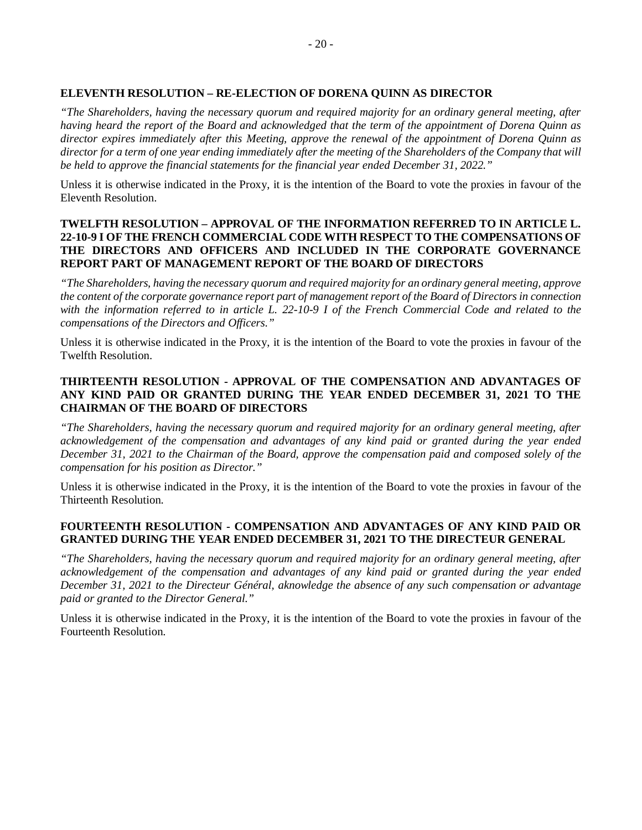### **ELEVENTH RESOLUTION – RE-ELECTION OF DORENA QUINN AS DIRECTOR**

*"The Shareholders, having the necessary quorum and required majority for an ordinary general meeting, after having heard the report of the Board and acknowledged that the term of the appointment of Dorena Quinn as director expires immediately after this Meeting, approve the renewal of the appointment of Dorena Quinn as director for a term of one year ending immediately after the meeting of the Shareholders of the Company that will be held to approve the financial statements for the financial year ended December 31, 2022."*

Unless it is otherwise indicated in the Proxy, it is the intention of the Board to vote the proxies in favour of the Eleventh Resolution.

### **TWELFTH RESOLUTION – APPROVAL OF THE INFORMATION REFERRED TO IN ARTICLE L. 22-10-9 I OF THE FRENCH COMMERCIAL CODE WITH RESPECT TO THE COMPENSATIONS OF THE DIRECTORS AND OFFICERS AND INCLUDED IN THE CORPORATE GOVERNANCE REPORT PART OF MANAGEMENT REPORT OF THE BOARD OF DIRECTORS**

*"The Shareholders, having the necessary quorum and required majority for an ordinary general meeting, approve the content of the corporate governance report part of management report of the Board of Directors in connection with the information referred to in article L. 22-10-9 I of the French Commercial Code and related to the compensations of the Directors and Officers."*

Unless it is otherwise indicated in the Proxy, it is the intention of the Board to vote the proxies in favour of the Twelfth Resolution.

### **THIRTEENTH RESOLUTION - APPROVAL OF THE COMPENSATION AND ADVANTAGES OF ANY KIND PAID OR GRANTED DURING THE YEAR ENDED DECEMBER 31, 2021 TO THE CHAIRMAN OF THE BOARD OF DIRECTORS**

*"The Shareholders, having the necessary quorum and required majority for an ordinary general meeting, after acknowledgement of the compensation and advantages of any kind paid or granted during the year ended December 31, 2021 to the Chairman of the Board, approve the compensation paid and composed solely of the compensation for his position as Director."*

Unless it is otherwise indicated in the Proxy, it is the intention of the Board to vote the proxies in favour of the Thirteenth Resolution.

### **FOURTEENTH RESOLUTION - COMPENSATION AND ADVANTAGES OF ANY KIND PAID OR GRANTED DURING THE YEAR ENDED DECEMBER 31, 2021 TO THE DIRECTEUR GENERAL**

*"The Shareholders, having the necessary quorum and required majority for an ordinary general meeting, after acknowledgement of the compensation and advantages of any kind paid or granted during the year ended December 31, 2021 to the Directeur Général, aknowledge the absence of any such compensation or advantage paid or granted to the Director General."*

Unless it is otherwise indicated in the Proxy, it is the intention of the Board to vote the proxies in favour of the Fourteenth Resolution.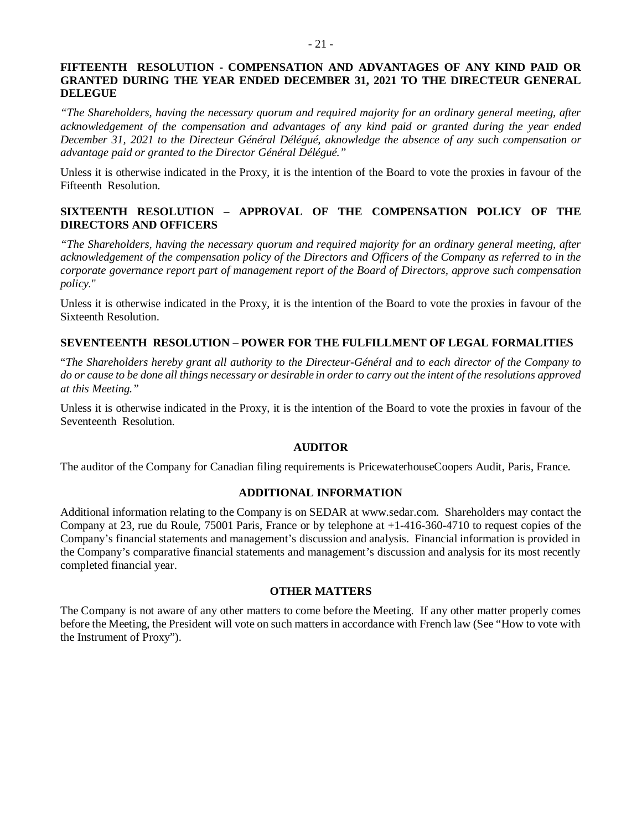### **FIFTEENTH RESOLUTION - COMPENSATION AND ADVANTAGES OF ANY KIND PAID OR GRANTED DURING THE YEAR ENDED DECEMBER 31, 2021 TO THE DIRECTEUR GENERAL DELEGUE**

*"The Shareholders, having the necessary quorum and required majority for an ordinary general meeting, after acknowledgement of the compensation and advantages of any kind paid or granted during the year ended December 31, 2021 to the Directeur Général Délégué, aknowledge the absence of any such compensation or advantage paid or granted to the Director Général Délégué."*

Unless it is otherwise indicated in the Proxy, it is the intention of the Board to vote the proxies in favour of the Fifteenth Resolution.

### **SIXTEENTH RESOLUTION – APPROVAL OF THE COMPENSATION POLICY OF THE DIRECTORS AND OFFICERS**

*"The Shareholders, having the necessary quorum and required majority for an ordinary general meeting, after acknowledgement of the compensation policy of the Directors and Officers of the Company as referred to in the corporate governance report part of management report of the Board of Directors, approve such compensation policy.*"

Unless it is otherwise indicated in the Proxy, it is the intention of the Board to vote the proxies in favour of the Sixteenth Resolution.

### **SEVENTEENTH RESOLUTION – POWER FOR THE FULFILLMENT OF LEGAL FORMALITIES**

"*The Shareholders hereby grant all authority to the Directeur-Général and to each director of the Company to do or cause to be done all things necessary or desirable in order to carry out the intent of the resolutions approved at this Meeting."*

Unless it is otherwise indicated in the Proxy, it is the intention of the Board to vote the proxies in favour of the Seventeenth Resolution.

### **AUDITOR**

The auditor of the Company for Canadian filing requirements is PricewaterhouseCoopers Audit, Paris, France.

### **ADDITIONAL INFORMATION**

Additional information relating to the Company is on SEDAR at www.sedar.com. Shareholders may contact the Company at 23, rue du Roule, 75001 Paris, France or by telephone at +1-416-360-4710 to request copies of the Company's financial statements and management's discussion and analysis. Financial information is provided in the Company's comparative financial statements and management's discussion and analysis for its most recently completed financial year.

### **OTHER MATTERS**

The Company is not aware of any other matters to come before the Meeting. If any other matter properly comes before the Meeting, the President will vote on such matters in accordance with French law (See "How to vote with the Instrument of Proxy").